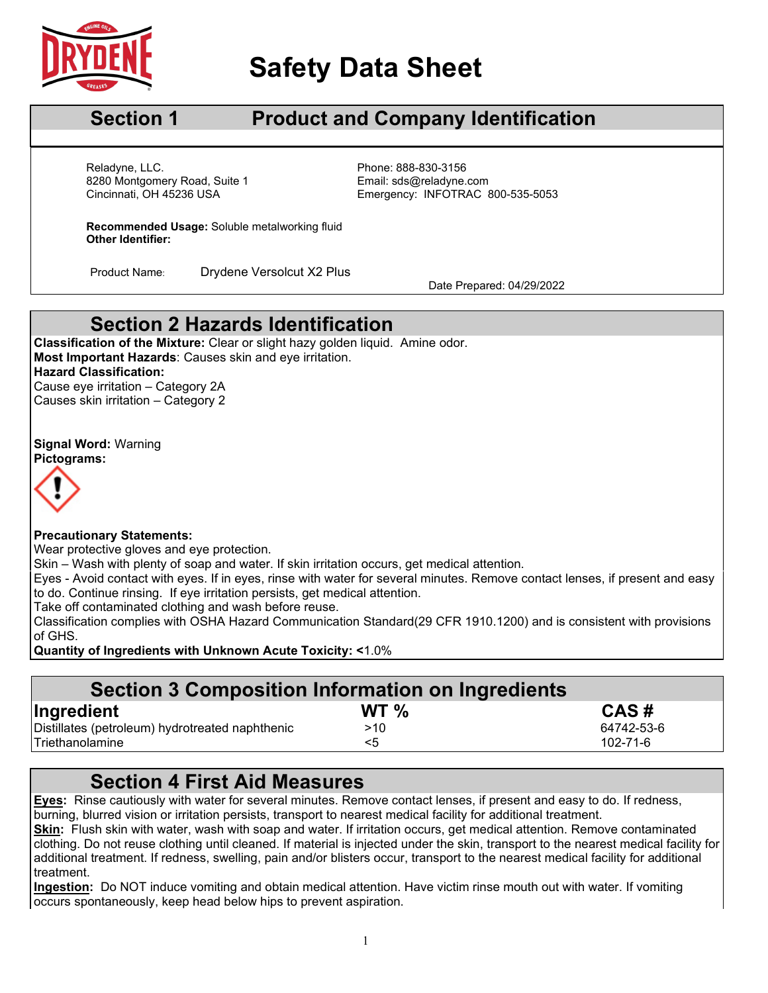

# **Safety Data Sheet**

## **Section 1 Product and Company Identification**

Cincinnati, OH 45236 USA Reladyne, LLC. Phone: 888-830-3156 8280 Montgomery Road, Suite 1 Email: sds@reladyne.com

Emergency: INFOTRAC 800-535-5053

**Recommended Usage:** Soluble metalworking fluid **Other Identifier:**

Product Name: Drydene Versolcut X2 Plus<br>Date Prepared: 04/29/2022

### **Section 2 Hazards Identification**

**Classification of the Mixture:** Clear or slight hazy golden liquid. Amine odor. **Most Important Hazards**: Causes skin and eye irritation. **Hazard Classification:** Cause eye irritation – Category 2A Causes skin irritation – Category 2

**Signal Word:** Warning **Pictograms:**



#### **Precautionary Statements:**

Wear protective gloves and eye protection.

Skin – Wash with plenty of soap and water. If skin irritation occurs, get medical attention.

Eyes - Avoid contact with eyes. If in eyes, rinse with water for several minutes. Remove contact lenses, if present and easy to do. Continue rinsing. If eye irritation persists, get medical attention.

Take off contaminated clothing and wash before reuse.

Classification complies with OSHA Hazard Communication Standard(29 CFR 1910.1200) and is consistent with provisions of GHS.

**Quantity of Ingredients with Unknown Acute Toxicity: <**1.0%

#### **Section 3 Composition Information on Ingredients**

| Ingredient                                      | WT <sub>%</sub> | CAS#       |
|-------------------------------------------------|-----------------|------------|
| Distillates (petroleum) hydrotreated naphthenic | >10             | 64742-53-6 |
| ITriethanolamine                                |                 | 102-71-6   |

#### **Section 4 First Aid Measures**

**Eyes:** Rinse cautiously with water for several minutes. Remove contact lenses, if present and easy to do. If redness, burning, blurred vision or irritation persists, transport to nearest medical facility for additional treatment.

**Skin:** Flush skin with water, wash with soap and water. If irritation occurs, get medical attention. Remove contaminated clothing. Do not reuse clothing until cleaned. If material is injected under the skin, transport to the nearest medical facility for additional treatment. If redness, swelling, pain and/or blisters occur, transport to the nearest medical facility for additional treatment.

**Ingestion:** Do NOT induce vomiting and obtain medical attention. Have victim rinse mouth out with water. If vomiting occurs spontaneously, keep head below hips to prevent aspiration.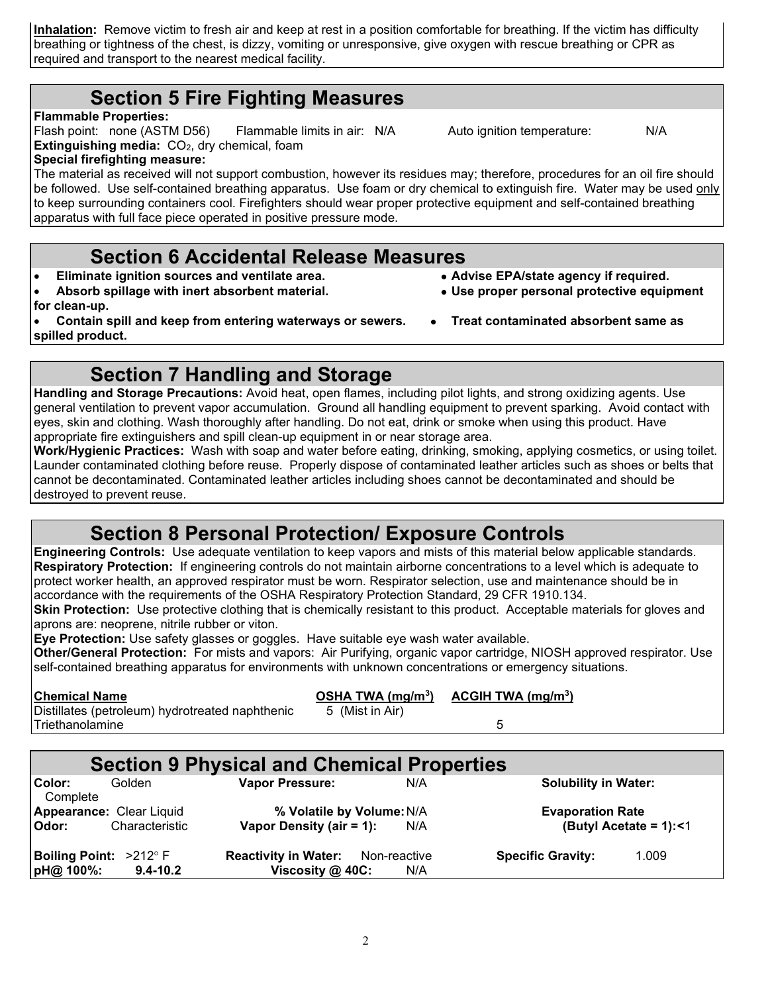**Inhalation:** Remove victim to fresh air and keep at rest in a position comfortable for breathing. If the victim has difficulty breathing or tightness of the chest, is dizzy, vomiting or unresponsive, give oxygen with rescue breathing or CPR as required and transport to the nearest medical facility.

#### **Section 5 Fire Fighting Measures**

**Flammable Properties:** 

Flash point: none (ASTM D56) Flammable limits in air: N/A Auto ignition temperature: N/A **Extinguishing media:** CO<sub>2</sub>, dry chemical, foam

#### **Special firefighting measure:**

The material as received will not support combustion, however its residues may; therefore, procedures for an oil fire should be followed. Use self-contained breathing apparatus. Use foam or dry chemical to extinguish fire. Water may be used only to keep surrounding containers cool. Firefighters should wear proper protective equipment and self-contained breathing apparatus with full face piece operated in positive pressure mode.

# **Section 6 Accidental Release Measures**<br> **Section** sources and ventilate area.<br>
• Advise EPA/state agency if required.

• Eliminate ignition sources and ventilate area.

- **Absorb spillage with inert absorbent material. Use proper personal protective equipment**
- **for clean-up.**

• **Contain spill and keep from entering waterways or sewers.** • **Treat contaminated absorbent same as spilled product.**

#### **Section 7 Handling and Storage**

**Handling and Storage Precautions:** Avoid heat, open flames, including pilot lights, and strong oxidizing agents. Use general ventilation to prevent vapor accumulation. Ground all handling equipment to prevent sparking. Avoid contact with eyes, skin and clothing. Wash thoroughly after handling. Do not eat, drink or smoke when using this product. Have appropriate fire extinguishers and spill clean-up equipment in or near storage area.

**Work/Hygienic Practices:** Wash with soap and water before eating, drinking, smoking, applying cosmetics, or using toilet. Launder contaminated clothing before reuse. Properly dispose of contaminated leather articles such as shoes or belts that cannot be decontaminated. Contaminated leather articles including shoes cannot be decontaminated and should be destroyed to prevent reuse.

## **Section 8 Personal Protection/ Exposure Controls**

**Engineering Controls:** Use adequate ventilation to keep vapors and mists of this material below applicable standards. **Respiratory Protection:** If engineering controls do not maintain airborne concentrations to a level which is adequate to protect worker health, an approved respirator must be worn. Respirator selection, use and maintenance should be in accordance with the requirements of the OSHA Respiratory Protection Standard, 29 CFR 1910.134.

**Skin Protection:** Use protective clothing that is chemically resistant to this product. Acceptable materials for gloves and aprons are: neoprene, nitrile rubber or viton.

**Eye Protection:** Use safety glasses or goggles. Have suitable eye wash water available.

**Other/General Protection:** For mists and vapors: Air Purifying, organic vapor cartridge, NIOSH approved respirator. Use self-contained breathing apparatus for environments with unknown concentrations or emergency situations.

**Chemical Name**<br>Distillates (petroleum) hydrotreated naphthenic <br>5 (Mist in Air)<br>**Distillates (petroleum) hydrotreated naphthenic** 5 (Mist in Air) Distillates (petroleum) hydrotreated naphthenic **Triethanolamine** 5

#### **Section 9 Physical and Chemical Properties**<br>
Vapor Pressure: N/A **Color:** Golden **Vapor Pressure:** N/A **Solubility in Water: Complete Appearance:** Clear Liquid **% Volatile by Volume:**N/A **Evaporation Rate Vapor Density (air = 1): Boiling Point:**  $>212^{\circ}$  F **Reactivity in Water:** Non-reactive **Specific Gravity:** 1.009 **pH@** 100%: 9.4-10.2 **Viscosity @ 40C:** N/A *b***iscosity @ 40C:** N/A

- 
- 
-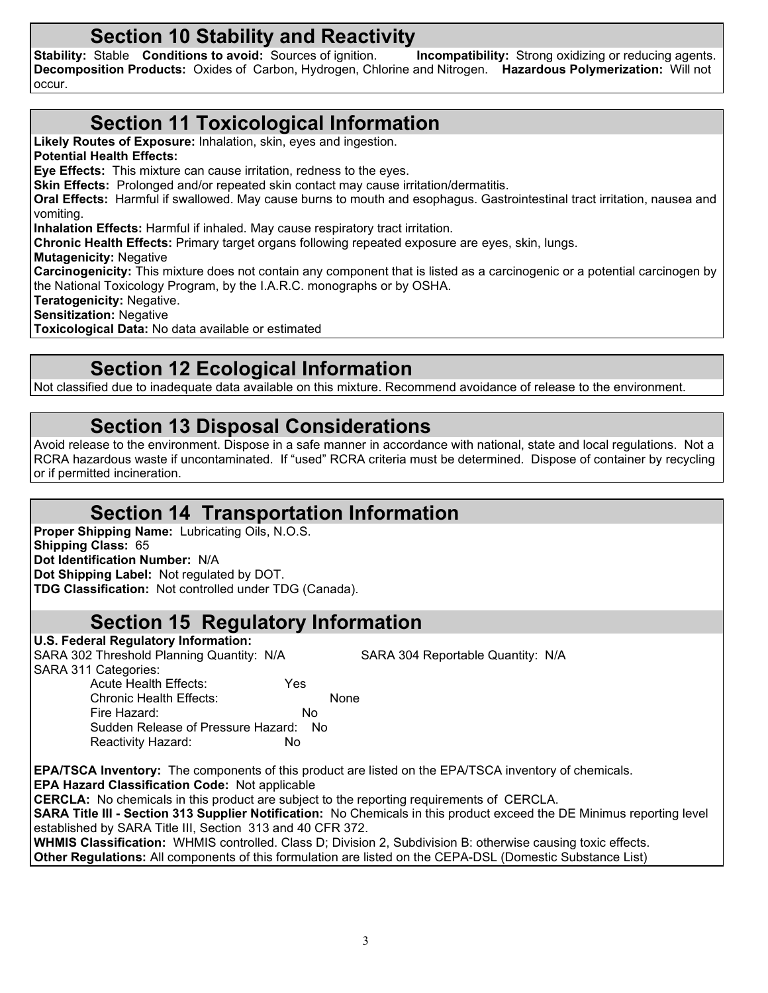**Section 10 Stability and Reactivity**<br>Stable Conditions to avoid: Sources of ignition. Incompatibility: Strong oxidizing or reducing agents. **Stability: Stable <b>Conditions to avoid:** Sources of ignition. **Decomposition Products:** Oxides of Carbon, Hydrogen, Chlorine and Nitrogen. **Hazardous Polymerization:** Will not occur.

## **Section 11 Toxicological Information**

**Likely Routes of Exposure:** Inhalation, skin, eyes and ingestion.

**Potential Health Effects:**

**Eye Effects:** This mixture can cause irritation, redness to the eyes.

**Skin Effects:** Prolonged and/or repeated skin contact may cause irritation/dermatitis.

**Oral Effects:** Harmful if swallowed. May cause burns to mouth and esophagus. Gastrointestinal tract irritation, nausea and vomiting.

**Inhalation Effects:** Harmful if inhaled. May cause respiratory tract irritation.

**Chronic Health Effects:** Primary target organs following repeated exposure are eyes, skin, lungs.

**Mutagenicity:** Negative

**Carcinogenicity:** This mixture does not contain any component that is listed as a carcinogenic or a potential carcinogen by the National Toxicology Program, by the I.A.R.C. monographs or by OSHA.

**Teratogenicity:** Negative.

**U.S. Federal Regulatory Information:**

**Sensitization:** Negative

**Toxicological Data:** No data available or estimated

## **Section 12 Ecological Information**

Not classified due to inadequate data available on this mixture. Recommend avoidance of release to the environment.

## **Section 13 Disposal Considerations**

Avoid release to the environment. Dispose in a safe manner in accordance with national, state and local regulations. Not a RCRA hazardous waste if uncontaminated. If "used" RCRA criteria must be determined. Dispose of container by recycling or if permitted incineration.

## **Section 14 Transportation Information**

**Proper Shipping Name:** Lubricating Oils, N.O.S. **Shipping Class:** 65 **Dot Identification Number:** N/A **Dot Shipping Label:** Not regulated by DOT. **TDG Classification:** Not controlled under TDG (Canada).

### **Section 15 Regulatory Information**

| SARA 302 Threshold Planning Quantity: N/A             | SARA 304 Reportable Quantity: N/A                                                                                             |
|-------------------------------------------------------|-------------------------------------------------------------------------------------------------------------------------------|
| SARA 311 Categories:                                  |                                                                                                                               |
| Acute Health Effects:                                 | Yes                                                                                                                           |
| Chronic Health Effects:                               | None                                                                                                                          |
| Fire Hazard:                                          | No.                                                                                                                           |
| Sudden Release of Pressure Hazard:                    | - No                                                                                                                          |
| Reactivity Hazard:                                    | No                                                                                                                            |
|                                                       | <b>EPA/TSCA Inventory:</b> The components of this product are listed on the EPA/TSCA inventory of chemicals.                  |
| <b>EPA Hazard Classification Code: Not applicable</b> |                                                                                                                               |
|                                                       | <b>CERCLA:</b> No chemicals in this product are subject to the reporting requirements of CERCLA.                              |
|                                                       | <b>SARA Title III - Section 313 Supplier Notification:</b> No Chemicals in this product exceed the DE Minimus reporting level |
|                                                       |                                                                                                                               |

established by SARA Title III, Section 313 and 40 CFR 372. **WHMIS Classification:** WHMIS controlled. Class D; Division 2, Subdivision B: otherwise causing toxic effects.

**Other Regulations:** All components of this formulation are listed on the CEPA-DSL (Domestic Substance List)